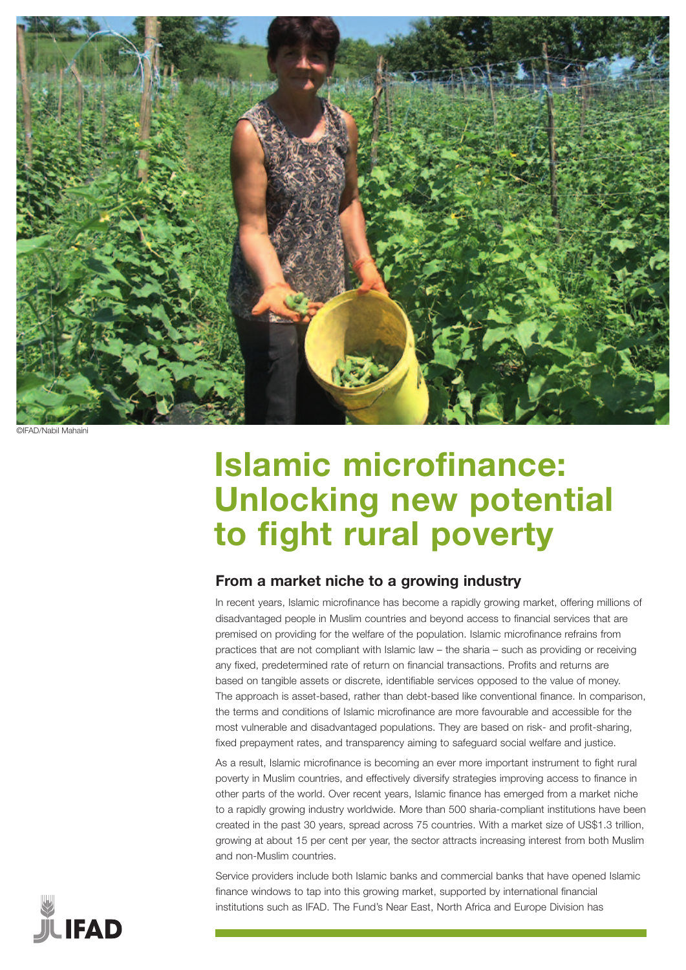

/Nahil Mahain

# **Islamic microfinance: Unlocking new potential to fight rural poverty**

## **From a market niche to a growing industry**

In recent years, Islamic microfinance has become a rapidly growing market, offering millions of disadvantaged people in Muslim countries and beyond access to financial services that are premised on providing for the welfare of the population. Islamic microfinance refrains from practices that are not compliant with Islamic law – the sharia – such as providing or receiving any fixed, predetermined rate of return on financial transactions. Profits and returns are based on tangible assets or discrete, identifiable services opposed to the value of money. The approach is asset-based, rather than debt-based like conventional finance. In comparison, the terms and conditions of Islamic microfinance are more favourable and accessible for the most vulnerable and disadvantaged populations. They are based on risk- and profit-sharing, fixed prepayment rates, and transparency aiming to safeguard social welfare and justice.

As a result, Islamic microfinance is becoming an ever more important instrument to fight rural poverty in Muslim countries, and effectively diversify strategies improving access to finance in other parts of the world. Over recent years, Islamic finance has emerged from a market niche to a rapidly growing industry worldwide. More than 500 sharia-compliant institutions have been created in the past 30 years, spread across 75 countries. With a market size of US\$1.3 trillion, growing at about 15 per cent per year, the sector attracts increasing interest from both Muslim and non-Muslim countries.

Service providers include both Islamic banks and commercial banks that have opened Islamic finance windows to tap into this growing market, supported by international financial institutions such as IFAD. The Fund's Near East, North Africa and Europe Division has

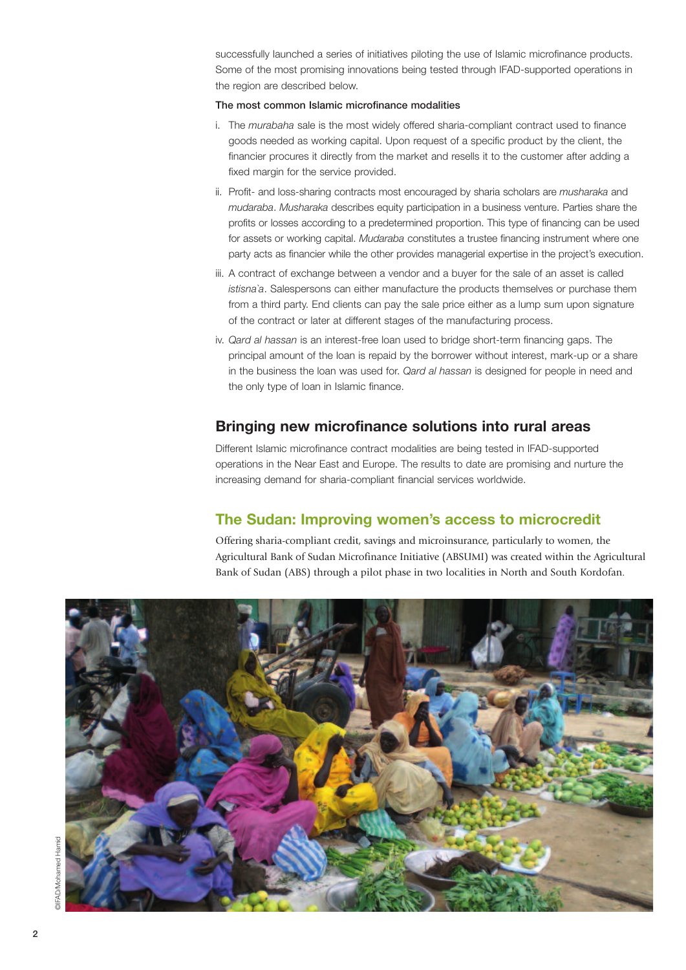successfully launched a series of initiatives piloting the use of Islamic microfinance products. Some of the most promising innovations being tested through IFAD-supported operations in the region are described below.

#### The most common Islamic microfinance modalities

- i. The *murabaha* sale is the most widely offered sharia-compliant contract used to finance goods needed as working capital. Upon request of a specific product by the client, the financier procures it directly from the market and resells it to the customer after adding a fixed margin for the service provided.
- ii. Profit- and loss-sharing contracts most encouraged by sharia scholars are *musharaka* and *mudaraba*. *Musharaka* describes equity participation in a business venture. Parties share the profits or losses according to a predetermined proportion. This type of financing can be used for assets or working capital. *Mudaraba* constitutes a trustee financing instrument where one party acts as financier while the other provides managerial expertise in the project's execution.
- iii. A contract of exchange between a vendor and a buyer for the sale of an asset is called *istisna`a*. Salespersons can either manufacture the products themselves or purchase them from a third party. End clients can pay the sale price either as a lump sum upon signature of the contract or later at different stages of the manufacturing process.
- iv. *Qard al hassan* is an interest-free loan used to bridge short-term financing gaps. The principal amount of the loan is repaid by the borrower without interest, mark-up or a share in the business the loan was used for. *Qard al hassan* is designed for people in need and the only type of loan in Islamic finance.

#### **Bringing new microfinance solutions into rural areas**

Different Islamic microfinance contract modalities are being tested in IFAD-supported operations in the Near East and Europe. The results to date are promising and nurture the increasing demand for sharia-compliant financial services worldwide.

#### **The Sudan: Improving women's access to microcredit**

Offering sharia-compliant credit, savings and microinsurance, particularly to women, the Agricultural Bank of Sudan Microfinance Initiative (ABSUMI) was created within the Agricultural Bank of Sudan (ABS) through a pilot phase in two localities in North and South Kordofan.

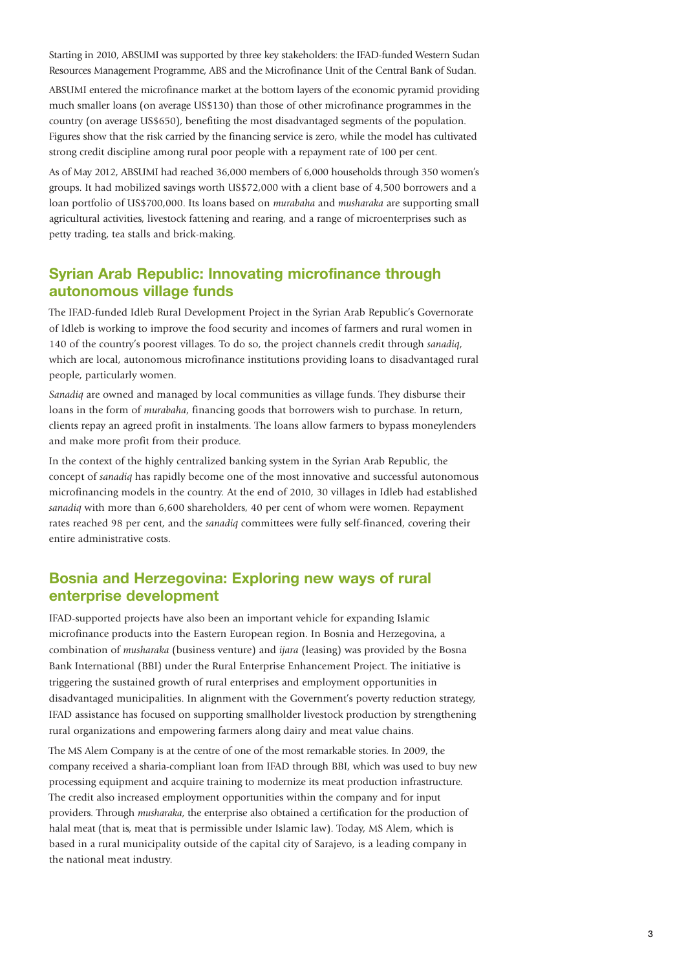Starting in 2010, ABSUMI was supported by three key stakeholders: the IFAD-funded Western Sudan Resources Management Programme, ABS and the Microfinance Unit of the Central Bank of Sudan.

ABSUMI entered the microfinance market at the bottom layers of the economic pyramid providing much smaller loans (on average US\$130) than those of other microfinance programmes in the country (on average US\$650), benefiting the most disadvantaged segments of the population. Figures show that the risk carried by the financing service is zero, while the model has cultivated strong credit discipline among rural poor people with a repayment rate of 100 per cent.

As of May 2012, ABSUMI had reached 36,000 members of 6,000 households through 350 women's groups. It had mobilized savings worth US\$72,000 with a client base of 4,500 borrowers and a loan portfolio of US\$700,000. Its loans based on *murabaha* and *musharaka* are supporting small agricultural activities, livestock fattening and rearing, and a range of microenterprises such as petty trading, tea stalls and brick-making.

### **Syrian Arab Republic: Innovating microfinance through autonomous village funds**

The IFAD-funded Idleb Rural Development Project in the Syrian Arab Republic's Governorate of Idleb is working to improve the food security and incomes of farmers and rural women in 140 of the country's poorest villages. To do so, the project channels credit through *sanadiq*, which are local, autonomous microfinance institutions providing loans to disadvantaged rural people, particularly women.

*Sanadiq* are owned and managed by local communities as village funds. They disburse their loans in the form of *murabaha*, financing goods that borrowers wish to purchase. In return, clients repay an agreed profit in instalments. The loans allow farmers to bypass moneylenders and make more profit from their produce.

In the context of the highly centralized banking system in the Syrian Arab Republic, the concept of *sanadiq* has rapidly become one of the most innovative and successful autonomous microfinancing models in the country. At the end of 2010, 30 villages in Idleb had established *sanadiq* with more than 6,600 shareholders, 40 per cent of whom were women. Repayment rates reached 98 per cent, and the *sanadiq* committees were fully self-financed, covering their entire administrative costs.

### **Bosnia and Herzegovina: Exploring new ways of rural enterprise development**

IFAD-supported projects have also been an important vehicle for expanding Islamic microfinance products into the Eastern European region. In Bosnia and Herzegovina, a combination of *musharaka* (business venture) and *ijara* (leasing) was provided by the Bosna Bank International (BBI) under the Rural Enterprise Enhancement Project. The initiative is triggering the sustained growth of rural enterprises and employment opportunities in disadvantaged municipalities. In alignment with the Government's poverty reduction strategy, IFAD assistance has focused on supporting smallholder livestock production by strengthening rural organizations and empowering farmers along dairy and meat value chains.

The MS Alem Company is at the centre of one of the most remarkable stories. In 2009, the company received a sharia-compliant loan from IFAD through BBI, which was used to buy new processing equipment and acquire training to modernize its meat production infrastructure. The credit also increased employment opportunities within the company and for input providers. Through *musharaka*, the enterprise also obtained a certification for the production of halal meat (that is, meat that is permissible under Islamic law). Today, MS Alem, which is based in a rural municipality outside of the capital city of Sarajevo, is a leading company in the national meat industry.